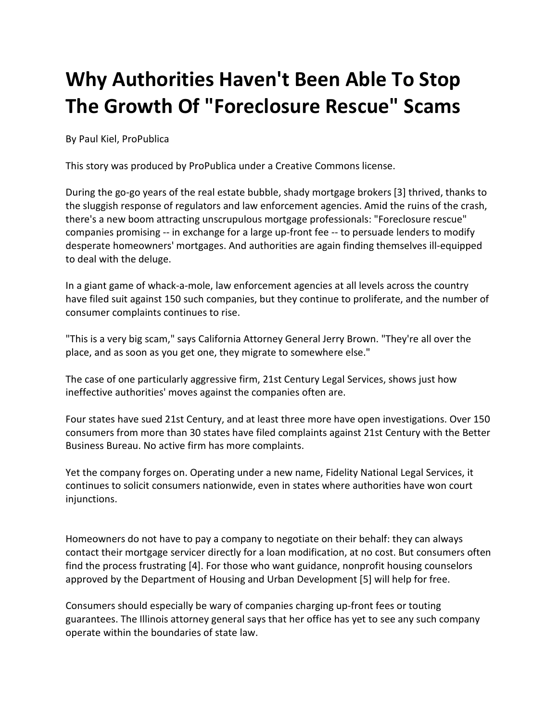## Why Authorities Haven't Been Able To Stop The Growth Of "Foreclosure Rescue" Scams

By Paul Kiel, ProPublica

This story was produced by ProPublica under a Creative Commons license.

During the go-go years of the real estate bubble, shady mortgage brokers [3] thrived, thanks to the sluggish response of regulators and law enforcement agencies. Amid the ruins of the crash, there's a new boom attracting unscrupulous mortgage professionals: "Foreclosure rescue" companies promising -- in exchange for a large up-front fee -- to persuade lenders to modify desperate homeowners' mortgages. And authorities are again finding themselves ill-equipped to deal with the deluge.

In a giant game of whack-a-mole, law enforcement agencies at all levels across the country have filed suit against 150 such companies, but they continue to proliferate, and the number of consumer complaints continues to rise.

"This is a very big scam," says California Attorney General Jerry Brown. "They're all over the place, and as soon as you get one, they migrate to somewhere else."

The case of one particularly aggressive firm, 21st Century Legal Services, shows just how ineffective authorities' moves against the companies often are.

Four states have sued 21st Century, and at least three more have open investigations. Over 150 consumers from more than 30 states have filed complaints against 21st Century with the Better Business Bureau. No active firm has more complaints.

Yet the company forges on. Operating under a new name, Fidelity National Legal Services, it continues to solicit consumers nationwide, even in states where authorities have won court injunctions.

Homeowners do not have to pay a company to negotiate on their behalf: they can always contact their mortgage servicer directly for a loan modification, at no cost. But consumers often find the process frustrating [4]. For those who want guidance, nonprofit housing counselors approved by the Department of Housing and Urban Development [5] will help for free.

Consumers should especially be wary of companies charging up-front fees or touting guarantees. The Illinois attorney general says that her office has yet to see any such company operate within the boundaries of state law.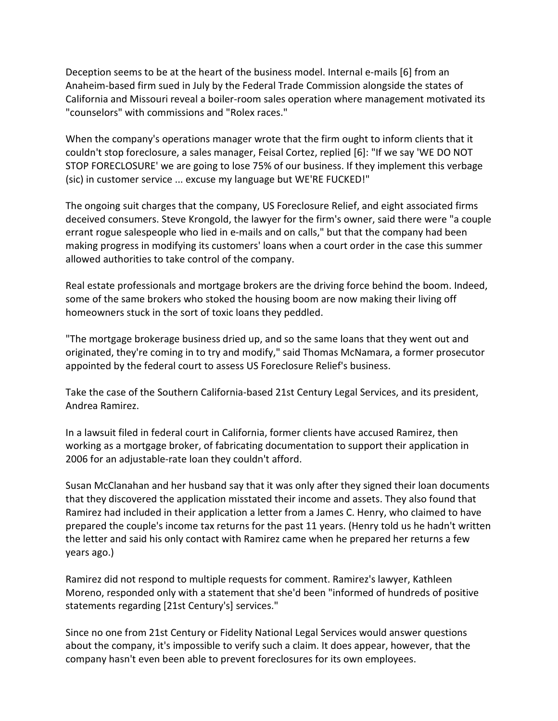Deception seems to be at the heart of the business model. Internal e-mails [6] from an Anaheim-based firm sued in July by the Federal Trade Commission alongside the states of California and Missouri reveal a boiler-room sales operation where management motivated its "counselors" with commissions and "Rolex races."

When the company's operations manager wrote that the firm ought to inform clients that it couldn't stop foreclosure, a sales manager, Feisal Cortez, replied [6]: "If we say 'WE DO NOT STOP FORECLOSURE' we are going to lose 75% of our business. If they implement this verbage (sic) in customer service ... excuse my language but WE'RE FUCKED!"

The ongoing suit charges that the company, US Foreclosure Relief, and eight associated firms deceived consumers. Steve Krongold, the lawyer for the firm's owner, said there were "a couple errant rogue salespeople who lied in e-mails and on calls," but that the company had been making progress in modifying its customers' loans when a court order in the case this summer allowed authorities to take control of the company.

Real estate professionals and mortgage brokers are the driving force behind the boom. Indeed, some of the same brokers who stoked the housing boom are now making their living off homeowners stuck in the sort of toxic loans they peddled.

"The mortgage brokerage business dried up, and so the same loans that they went out and originated, they're coming in to try and modify," said Thomas McNamara, a former prosecutor appointed by the federal court to assess US Foreclosure Relief's business.

Take the case of the Southern California-based 21st Century Legal Services, and its president, Andrea Ramirez.

In a lawsuit filed in federal court in California, former clients have accused Ramirez, then working as a mortgage broker, of fabricating documentation to support their application in 2006 for an adjustable-rate loan they couldn't afford.

Susan McClanahan and her husband say that it was only after they signed their loan documents that they discovered the application misstated their income and assets. They also found that Ramirez had included in their application a letter from a James C. Henry, who claimed to have prepared the couple's income tax returns for the past 11 years. (Henry told us he hadn't written the letter and said his only contact with Ramirez came when he prepared her returns a few years ago.)

Ramirez did not respond to multiple requests for comment. Ramirez's lawyer, Kathleen Moreno, responded only with a statement that she'd been "informed of hundreds of positive statements regarding [21st Century's] services."

Since no one from 21st Century or Fidelity National Legal Services would answer questions about the company, it's impossible to verify such a claim. It does appear, however, that the company hasn't even been able to prevent foreclosures for its own employees.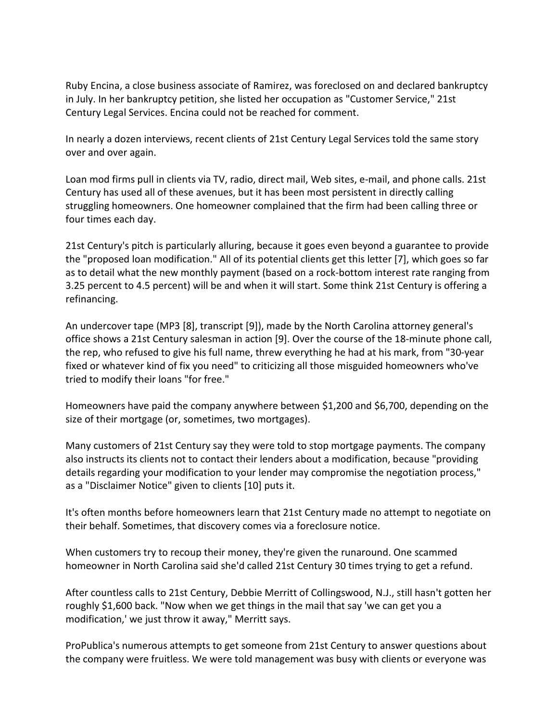Ruby Encina, a close business associate of Ramirez, was foreclosed on and declared bankruptcy in July. In her bankruptcy petition, she listed her occupation as "Customer Service," 21st Century Legal Services. Encina could not be reached for comment.

In nearly a dozen interviews, recent clients of 21st Century Legal Services told the same story over and over again.

Loan mod firms pull in clients via TV, radio, direct mail, Web sites, e-mail, and phone calls. 21st Century has used all of these avenues, but it has been most persistent in directly calling struggling homeowners. One homeowner complained that the firm had been calling three or four times each day.

21st Century's pitch is particularly alluring, because it goes even beyond a guarantee to provide the "proposed loan modification." All of its potential clients get this letter [7], which goes so far as to detail what the new monthly payment (based on a rock-bottom interest rate ranging from 3.25 percent to 4.5 percent) will be and when it will start. Some think 21st Century is offering a refinancing.

An undercover tape (MP3 [8], transcript [9]), made by the North Carolina attorney general's office shows a 21st Century salesman in action [9]. Over the course of the 18-minute phone call, the rep, who refused to give his full name, threw everything he had at his mark, from "30-year fixed or whatever kind of fix you need" to criticizing all those misguided homeowners who've tried to modify their loans "for free."

Homeowners have paid the company anywhere between \$1,200 and \$6,700, depending on the size of their mortgage (or, sometimes, two mortgages).

Many customers of 21st Century say they were told to stop mortgage payments. The company also instructs its clients not to contact their lenders about a modification, because "providing details regarding your modification to your lender may compromise the negotiation process," as a "Disclaimer Notice" given to clients [10] puts it.

It's often months before homeowners learn that 21st Century made no attempt to negotiate on their behalf. Sometimes, that discovery comes via a foreclosure notice.

When customers try to recoup their money, they're given the runaround. One scammed homeowner in North Carolina said she'd called 21st Century 30 times trying to get a refund.

After countless calls to 21st Century, Debbie Merritt of Collingswood, N.J., still hasn't gotten her roughly \$1,600 back. "Now when we get things in the mail that say 'we can get you a modification,' we just throw it away," Merritt says.

ProPublica's numerous attempts to get someone from 21st Century to answer questions about the company were fruitless. We were told management was busy with clients or everyone was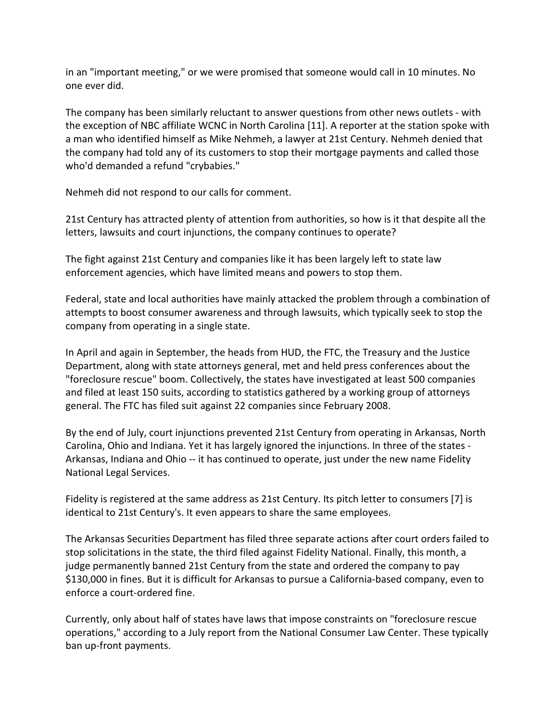in an "important meeting," or we were promised that someone would call in 10 minutes. No one ever did.

The company has been similarly reluctant to answer questions from other news outlets - with the exception of NBC affiliate WCNC in North Carolina [11]. A reporter at the station spoke with a man who identified himself as Mike Nehmeh, a lawyer at 21st Century. Nehmeh denied that the company had told any of its customers to stop their mortgage payments and called those who'd demanded a refund "crybabies."

Nehmeh did not respond to our calls for comment.

21st Century has attracted plenty of attention from authorities, so how is it that despite all the letters, lawsuits and court injunctions, the company continues to operate?

The fight against 21st Century and companies like it has been largely left to state law enforcement agencies, which have limited means and powers to stop them.

Federal, state and local authorities have mainly attacked the problem through a combination of attempts to boost consumer awareness and through lawsuits, which typically seek to stop the company from operating in a single state.

In April and again in September, the heads from HUD, the FTC, the Treasury and the Justice Department, along with state attorneys general, met and held press conferences about the "foreclosure rescue" boom. Collectively, the states have investigated at least 500 companies and filed at least 150 suits, according to statistics gathered by a working group of attorneys general. The FTC has filed suit against 22 companies since February 2008.

By the end of July, court injunctions prevented 21st Century from operating in Arkansas, North Carolina, Ohio and Indiana. Yet it has largely ignored the injunctions. In three of the states - Arkansas, Indiana and Ohio -- it has continued to operate, just under the new name Fidelity National Legal Services.

Fidelity is registered at the same address as 21st Century. Its pitch letter to consumers [7] is identical to 21st Century's. It even appears to share the same employees.

The Arkansas Securities Department has filed three separate actions after court orders failed to stop solicitations in the state, the third filed against Fidelity National. Finally, this month, a judge permanently banned 21st Century from the state and ordered the company to pay \$130,000 in fines. But it is difficult for Arkansas to pursue a California-based company, even to enforce a court-ordered fine.

Currently, only about half of states have laws that impose constraints on "foreclosure rescue operations," according to a July report from the National Consumer Law Center. These typically ban up-front payments.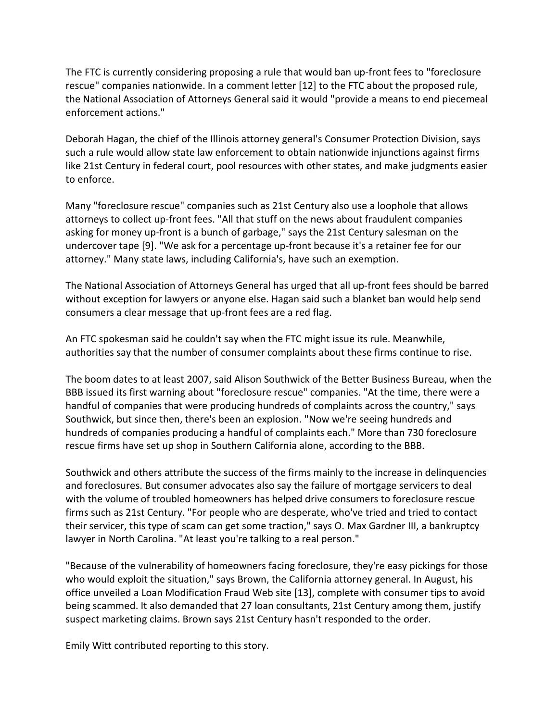The FTC is currently considering proposing a rule that would ban up-front fees to "foreclosure rescue" companies nationwide. In a comment letter [12] to the FTC about the proposed rule, the National Association of Attorneys General said it would "provide a means to end piecemeal enforcement actions."

Deborah Hagan, the chief of the Illinois attorney general's Consumer Protection Division, says such a rule would allow state law enforcement to obtain nationwide injunctions against firms like 21st Century in federal court, pool resources with other states, and make judgments easier to enforce.

Many "foreclosure rescue" companies such as 21st Century also use a loophole that allows attorneys to collect up-front fees. "All that stuff on the news about fraudulent companies asking for money up-front is a bunch of garbage," says the 21st Century salesman on the undercover tape [9]. "We ask for a percentage up-front because it's a retainer fee for our attorney." Many state laws, including California's, have such an exemption.

The National Association of Attorneys General has urged that all up-front fees should be barred without exception for lawyers or anyone else. Hagan said such a blanket ban would help send consumers a clear message that up-front fees are a red flag.

An FTC spokesman said he couldn't say when the FTC might issue its rule. Meanwhile, authorities say that the number of consumer complaints about these firms continue to rise.

The boom dates to at least 2007, said Alison Southwick of the Better Business Bureau, when the BBB issued its first warning about "foreclosure rescue" companies. "At the time, there were a handful of companies that were producing hundreds of complaints across the country," says Southwick, but since then, there's been an explosion. "Now we're seeing hundreds and hundreds of companies producing a handful of complaints each." More than 730 foreclosure rescue firms have set up shop in Southern California alone, according to the BBB.

Southwick and others attribute the success of the firms mainly to the increase in delinquencies and foreclosures. But consumer advocates also say the failure of mortgage servicers to deal with the volume of troubled homeowners has helped drive consumers to foreclosure rescue firms such as 21st Century. "For people who are desperate, who've tried and tried to contact their servicer, this type of scam can get some traction," says O. Max Gardner III, a bankruptcy lawyer in North Carolina. "At least you're talking to a real person."

"Because of the vulnerability of homeowners facing foreclosure, they're easy pickings for those who would exploit the situation," says Brown, the California attorney general. In August, his office unveiled a Loan Modification Fraud Web site [13], complete with consumer tips to avoid being scammed. It also demanded that 27 loan consultants, 21st Century among them, justify suspect marketing claims. Brown says 21st Century hasn't responded to the order.

Emily Witt contributed reporting to this story.